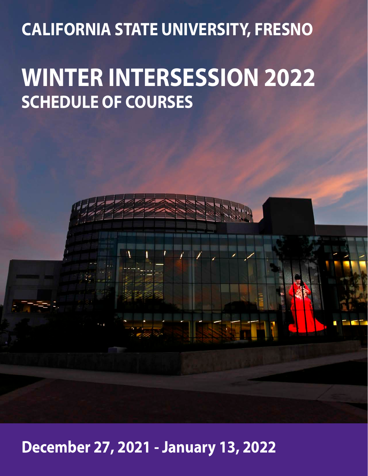## **CALIFORNIA STATE UNIVERSITY, FRESNO**

# **WINTER INTERSESSION 2022 SCHEDULE OF COURSES**

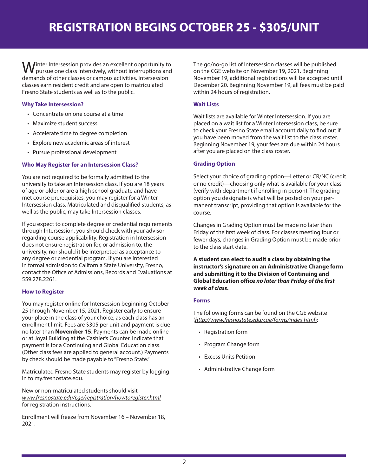Inter Intersession provides an excellent opportunity to pursue one class intensively, without interruptions and demands of other classes or campus activities. Intersession classes earn resident credit and are open to matriculated Fresno State students as well as to the public.

#### **Why Take Intersession?**

- Concentrate on one course at a time
- Maximize student success
- Accelerate time to degree completion
- Explore new academic areas of interest
- Pursue professional development

#### **Who May Register for an Intersession Class?**

You are not required to be formally admitted to the university to take an Intersession class. If you are 18 years of age or older or are a high school graduate and have met course prerequisites, you may register for a Winter Intersession class. Matriculated and disqualified students, as well as the public, may take Intersession classes.

If you expect to complete degree or credential requirements through Intersession, you should check with your advisor regarding course applicability. Registration in Intersession does not ensure registration for, or admission to, the university, nor should it be interpreted as acceptance to any degree or credential program. If you are interested in formal admission to California State University, Fresno, contact the Office of Admissions, Records and Evaluations at 559.278.2261.

#### **How to Register**

You may register online for Intersession beginning October 25 through November 15, 2021. Register early to ensure your place in the class of your choice, as each class has an enrollment limit. Fees are \$305 per unit and payment is due no later than **November 15**. Payments can be made online or at Joyal Building at the Cashier's Counter. Indicate that payment is for a Continuing and Global Education class. (Other class fees are applied to general account.) Payments by check should be made payable to "Fresno State."

Matriculated Fresno State students may register by logging in to my.fresnostate.edu.

New or non-matriculated students should visit *www.fresnostate.edu/cge/registration/howtoregister.html* for registration instructions.

Enrollment will freeze from November 16 – November 18, 2021.

The go/no-go list of Intersession classes will be published on the CGE website on November 19, 2021. Beginning November 19, additional registrations will be accepted until December 20. Beginning November 19, all fees must be paid within 24 hours of registration.

#### **Wait Lists**

Wait lists are available for Winter Intersession. If you are placed on a wait list for a Winter Intersession class, be sure to check your Fresno State email account daily to find out if you have been moved from the wait list to the class roster. Beginning November 19, your fees are due within 24 hours after you are placed on the class roster.

#### **Grading Option**

Select your choice of grading option—Letter or CR/NC (credit or no credit)—choosing only what is available for your class (verify with department if enrolling in person). The grading option you designate is what will be posted on your permanent transcript, providing that option is available for the course.

Changes in Grading Option must be made no later than Friday of the first week of class. For classes meeting four or fewer days, changes in Grading Option must be made prior to the class start date.

**A student can elect to audit a class by obtaining the instructor's signature on an Administrative Change form and submitting it to the Division of Continuing and Global Education office** *no later than Friday of the first week of class***.**

#### **Forms**

The following forms can be found on the CGE website (*http://www.fresnostate.edu/cge/forms/index.html*):

- Registration form
- Program Change form
- Excess Units Petition
- Administrative Change form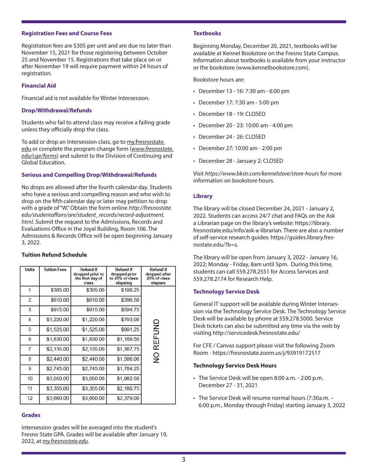#### **Registration Fees and Course Fees**

Registration fees are \$305 per unit and are due no later than November 15, 2021 for those registering between October 25 and November 15. Registrations that take place on or after November 19 will require payment within 24 hours of registration.

#### **Financial Aid**

Financial aid is not available for Winter Intersession.

#### **Drop/Withdrawal/Refunds**

Students who fail to attend class may receive a failing grade unless they officially drop the class.

To add or drop an Intersession class, go to my.fresnostate. edu or complete the program change form (*www.fresnostate. edu/cge/forms*) and submit to the Division of Continuing and Global Education.

#### **Serious and Compelling Drop/Withdrawal/Refunds**

No drops are allowed after the fourth calendar day. Students who have a serious and compelling reason and who wish to drop on the fifth calendar day or later may petition to drop with a grade of "W." Obtain the form online *http://fresnostate. edu/studentaffairs/are/student\_records/record-adjustment. html*. Submit the request to the Admissions, Records and Evaluations Office in the Joyal Building, Room 106. The Admissions & Records Office will be open beginning January 3, 2022.

#### **Tuition Refund Schedule**

| <b>Units</b> | <b>Tuition Fees</b> | <b>Refund if</b><br>dropped prior to<br>the first day of<br>class | <b>Refund if</b><br>dropped prior<br>to 25% of class<br>elapsing | <b>Refund if</b><br>dropped after<br>25% of class<br>elapses |
|--------------|---------------------|-------------------------------------------------------------------|------------------------------------------------------------------|--------------------------------------------------------------|
| 1            | \$305.00            | \$305.00                                                          | \$198.25                                                         |                                                              |
| 2            | \$610.00            | \$610.00                                                          | \$396.50                                                         |                                                              |
| 3            | \$915.00            | \$915.00                                                          | \$594.75                                                         |                                                              |
| 4            | \$1,220.00          | \$1,220.00                                                        | \$793.00                                                         |                                                              |
| 5            | \$1,525.00          | \$1,525.00                                                        | \$991.25                                                         | REFUND                                                       |
| 6            | \$1,830.00          | \$1,830.00                                                        | \$1,189.50                                                       |                                                              |
| 7            | \$2,135.00          | \$2,135.00                                                        | \$1,387.75                                                       |                                                              |
| 8            | \$2,440.00          | \$2,440.00                                                        | \$1,586.00                                                       | $\frac{0}{2}$                                                |
| 9            | \$2,745.00          | \$2,745.00                                                        | \$1,784.25                                                       |                                                              |
| 10           | \$3,050.00          | \$3,050.00                                                        | \$1,982.50                                                       |                                                              |
| 11           | \$3,355.00          | \$3,355.00                                                        | \$2,180.75                                                       |                                                              |
| 12           | \$3,660.00          | \$3,660.00                                                        | \$2,379.00                                                       |                                                              |

#### **Grades**

Intersession grades will be averaged into the student's Fresno State GPA. Grades will be available after January 19, 2022, at *my.fresnostate.edu*.

#### **Textbooks**

Beginning Monday, December 20, 2021, textbooks will be available at Kennel Bookstore on the Fresno State Campus. Information about textbooks is available from your instructor or the bookstore (www.kennelbookstore.com).

Bookstore hours are:

- December 13 16: 7:30 am 6:00 pm
- December 17: 7:30 am 5:00 pm
- December 18 19: CLOSED
- December 20 23: 10:00 am 4:00 pm
- December 24 26: CLOSED
- December 27: 10:00 am 2:00 pm
- December 28 January 2: CLOSED

Visit *https://www.bkstr.com/kennelstore/store-hours* for more information on bookstore hours.

#### **Library**

The library will be closed December 24, 2021 - January 2, 2022. Students can access 24/7 chat and FAQs on the Ask a Librarian page on the library's website: https://library. fresnostate.edu/info/ask-a-librarian. There are also a number of self-service research guides: https://guides.library.fresnostate.edu/?b=s.

The library will be open from January 3, 2022 - January 16, 2022; Monday - Friday, 8am until 5pm. During this time, students can call 559.278.2551 for Access Services and 559.278.2174 for Research Help.

#### **Technology Service Desk**

General IT support will be available during Winter Intersession via the Technology Service Desk. The Technology Service Desk will be available by phone at 559.278.5000. Service Desk tickets can also be submitted any time via the web by visiting http://servicedesk.fresnostate.edu/

For CFE / Canvas support please visit the following Zoom Room - https://fresnostate.zoom.us/j/93919172517

#### **Technology Service Desk Hours**

- The Service Desk will be open 8:00 a.m. 2:00 p.m. December 27 - 31, 2021
- The Service Desk will resume normal hours (7:30a.m. 6:00 p.m., Monday through Friday) starting January 3, 2022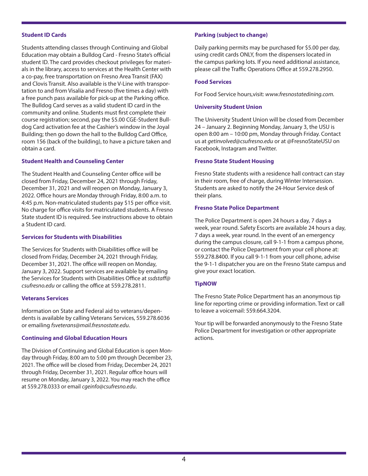#### **Student ID Cards**

Students attending classes through Continuing and Global Education may obtain a Bulldog Card - Fresno State's official student ID. The card provides checkout privileges for materials in the library, access to services at the Health Center with a co-pay, free transportation on Fresno Area Transit (FAX) and Clovis Transit. Also available is the V-Line with transportation to and from Visalia and Fresno (five times a day) with a free punch pass available for pick-up at the Parking office. The Bulldog Card serves as a valid student ID card in the community and online. Students must first complete their course registration; second, pay the \$5.00 CGE-Student Bulldog Card activation fee at the Cashier's window in the Joyal Building; then go down the hall to the Bulldog Card Office, room 156 (back of the building), to have a picture taken and obtain a card.

#### **Student Health and Counseling Center**

The Student Health and Counseling Center office will be closed from Friday, December 24, 2021 through Friday, December 31, 2021 and will reopen on Monday, January 3, 2022. Office hours are Monday through Friday, 8:00 a.m. to 4:45 p.m. Non-matriculated students pay \$15 per office visit. No charge for office visits for matriculated students. A Fresno State student ID is required. See instructions above to obtain a Student ID card.

#### **Services for Students with Disabilities**

The Services for Students with Disabilities office will be closed from Friday, December 24, 2021 through Friday, December 31, 2021. The office will reopen on Monday, January 3, 2022. Support services are available by emailing the Services for Students with Disabilities Office at *ssdstaff@ csufresno.edu* or calling the office at 559.278.2811.

#### **Veterans Services**

Information on State and Federal aid to veterans/dependents is available by calling Veterans Services, 559.278.6036 or emailing *fsveterans@mail.fresnostate.edu*.

#### **Continuing and Global Education Hours**

The Division of Continuing and Global Education is open Monday through Friday, 8:00 am to 5:00 pm through December 23, 2021. The office will be closed from Friday, December 24, 2021 through Friday, December 31, 2021. Regular office hours will resume on Monday, January 3, 2022. You may reach the office at 559.278.0333 or email *cgeinfo@csufresno.edu*.

#### **Parking (subject to change)**

Daily parking permits may be purchased for \$5.00 per day, using credit cards ONLY, from the dispensers located in the campus parking lots. If you need additional assistance, please call the Traffic Operations Office at 559.278.2950.

#### **Food Services**

For Food Service hours,visit: *www.fresnostatedining.com.*

#### **University Student Union**

The University Student Union will be closed from December 24 – January 2. Beginning Monday, January 3, the USU is open 8:00 am – 10:00 pm, Monday through Friday. Contact us at *getinvolved@csufresno.edu* or at @FresnoStateUSU on Facebook, Instagram and Twitter.

#### **Fresno State Student Housing**

Fresno State students with a residence hall contract can stay in their room, free of charge, during Winter Intersession. Students are asked to notify the 24-Hour Service desk of their plans.

#### **Fresno State Police Department**

The Police Department is open 24 hours a day, 7 days a week, year round. Safety Escorts are available 24 hours a day, 7 days a week, year round. In the event of an emergency during the campus closure, call 9-1-1 from a campus phone, or contact the Police Department from your cell phone at: 559.278.8400. If you call 9-1-1 from your cell phone, advise the 9-1-1 dispatcher you are on the Fresno State campus and give your exact location.

#### **TipNOW**

The Fresno State Police Department has an anonymous tip line for reporting crime or providing information. Text or call to leave a voicemail: 559.664.3204.

Your tip will be forwarded anonymously to the Fresno State Police Department for investigation or other appropriate actions.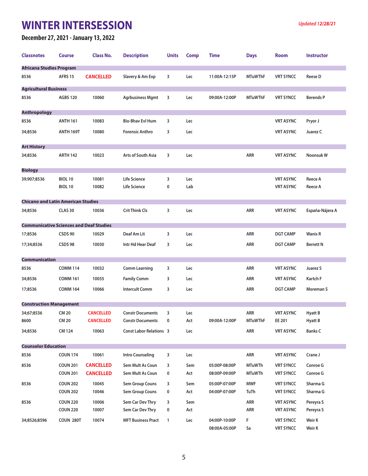### **WINTER INTERSESSION** *Updated 1***2/28/21**

#### **December 27, 2021 - January 13, 2022**

| <b>Classnotes</b>                              | <b>Course</b>   | <b>Class No.</b> | <b>Description</b>             | <b>Units</b> | <b>Comp</b> | Time                           | <b>Days</b>    | <b>Room</b>                          | <b>Instructor</b> |
|------------------------------------------------|-----------------|------------------|--------------------------------|--------------|-------------|--------------------------------|----------------|--------------------------------------|-------------------|
| <b>Africana Studies Program</b>                |                 |                  |                                |              |             |                                |                |                                      |                   |
| 8536                                           | AFRS 15         | <b>CANCELLED</b> | Slavery & Am Exp               | 3            | Lec         | 11:00A-12:15P                  | <b>MTuWThF</b> | <b>VRT SYNCC</b>                     | <b>Reese D</b>    |
| <b>Agricultural Business</b>                   |                 |                  |                                |              |             |                                |                |                                      |                   |
| 8536                                           | <b>AGBS 120</b> | 10060            | <b>Agrbusiness Mgmt</b>        | 3            | Lec         | 09:00A-12:00P                  | <b>MTuWThF</b> | <b>VRT SYNCC</b>                     | <b>Berends P</b>  |
| <b>Anthropology</b>                            |                 |                  |                                |              |             |                                |                |                                      |                   |
| 8536                                           | <b>ANTH 161</b> | 10083            | <b>Bio-Bhav Evl Hum</b>        | 3            | Lec         |                                |                | <b>VRT ASYNC</b>                     | Pryor J           |
| 34;8536                                        | ANTH 169T       | 10080            | <b>Forensic Anthro</b>         | 3            | Lec         |                                |                | <b>VRT ASYNC</b>                     | Juarez C          |
| <b>Art History</b>                             |                 |                  |                                |              |             |                                |                |                                      |                   |
| 34;8536                                        | <b>ARTH 142</b> | 10023            | Arts of South Asia             | 3            | Lec         |                                | ARR            | <b>VRT ASYNC</b>                     | Noonsuk W         |
| <b>Biology</b>                                 |                 |                  |                                |              |             |                                |                |                                      |                   |
| 39;907;8536                                    | BIOL 10         | 10081            | <b>Life Science</b>            | 3            | Lec         |                                |                | <b>VRT ASYNC</b>                     | Reece A           |
|                                                | BIOL 10         | 10082            | Life Science                   | 0            | Lab         |                                |                | <b>VRT ASYNC</b>                     | Reece A           |
| <b>Chicano and Latin American Studies</b>      |                 |                  |                                |              |             |                                |                |                                      |                   |
| 34;8536                                        | <b>CLAS 30</b>  | 10036            | <b>Crit Think Cls</b>          | 3            | Lec         |                                | ARR            | <b>VRT ASYNC</b>                     | España-Nájera A   |
| <b>Communicative Sciences and Deaf Studies</b> |                 |                  |                                |              |             |                                |                |                                      |                   |
| 17;8536                                        | CSDS 90         | 10029            | Deaf Am Lit                    | 3            | Lec         |                                | <b>ARR</b>     | <b>DGT CAMP</b>                      | <b>Wanis R</b>    |
| 17;34;8536                                     | CSDS 98         | 10030            | Intr Hd Hear Deaf              | 3            | Lec         |                                | ARR            | <b>DGT CAMP</b>                      | <b>Berrett N</b>  |
| <b>Communication</b>                           |                 |                  |                                |              |             |                                |                |                                      |                   |
| 8536                                           | <b>COMM 114</b> | 10032            | Comm Learning                  | 3            | Lec         |                                | ARR            | <b>VRT ASYNC</b>                     | Juarez S          |
| 34;8536                                        | <b>COMM 161</b> | 10035            | <b>Family Comm</b>             | 3            | Lec         |                                | ARR            | <b>VRT ASYNC</b>                     | Kartch F          |
| 17;8536                                        | <b>COMM 164</b> | 10066            | <b>Intercult Comm</b>          | 3            | Lec         |                                | ARR            | <b>DGT CAMP</b>                      | Moreman S         |
| <b>Construction Management</b>                 |                 |                  |                                |              |             |                                |                |                                      |                   |
| 34;67;8536                                     | CM 20           | <b>CANCELLED</b> | <b>Constr Documents</b>        | 3            | Lec         |                                | ARR            | <b>VRT ASYNC</b>                     | Hyatt B           |
| 8600                                           | <b>CM 20</b>    | <b>CANCELLED</b> | <b>Constr Documents</b>        | 0            | Act         | 09:00A-12:00P                  | <b>MTuWThF</b> | EE 201                               | Hyatt B           |
| 34;8536                                        | <b>CM 124</b>   | 10063            | <b>Const Labor Relations 3</b> |              | Lec         |                                | ARR            | <b>VRT ASYNC</b>                     | <b>Banks C</b>    |
| <b>Counselor Education</b>                     |                 |                  |                                |              |             |                                |                |                                      |                   |
| 8536                                           | <b>COUN 174</b> | 10061            | <b>Intro Counseling</b>        | 3            | Lec         |                                | ARR            | <b>VRT ASYNC</b>                     | Crane J           |
| 8536                                           | <b>COUN 201</b> | <b>CANCELLED</b> | Sem Mult As Coun               | 3            | Sem         | 05:00P-08:00P                  | <b>MTuWTh</b>  | <b>VRT SYNCC</b>                     | Conroe G          |
|                                                | <b>COUN 201</b> | <b>CANCELLED</b> | Sem Mult As Coun               | 0            | Act         | 08:00P-09:00P                  | <b>MTuWTh</b>  | <b>VRT SYNCC</b>                     | Conroe G          |
| 8536                                           | <b>COUN 202</b> | 10045            | Sem Group Couns                | 3            | Sem         | 05:00P-07:00P                  | <b>MWF</b>     | <b>VRT SYNCC</b>                     | Sharma G          |
|                                                | <b>COUN 202</b> | 10046            | Sem Group Couns                | 0            | Act         | 04:00P-07:00P                  | TuTh           | <b>VRT SYNCC</b>                     | Sharma G          |
| 8536                                           | <b>COUN 220</b> | 10006            | Sem Car Dev Thry               | 3            | Sem         |                                | ARR            | <b>VRT ASYNC</b>                     | Pereyra S         |
|                                                | <b>COUN 220</b> | 10007            | Sem Car Dev Thry               | 0            | Act         |                                | ARR            | <b>VRT ASYNC</b>                     | Pereyra S         |
| 34;8526;8596                                   | COUN 280T       | 10074            | <b>MFT Business Pract</b>      | 1            | Lec         | 04:00P-10:00P<br>08:00A-05:00P | F<br>Sa        | <b>VRT SYNCC</b><br><b>VRT SYNCC</b> | Weir K<br>Weir K  |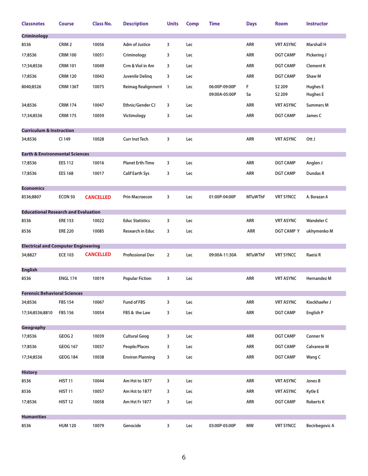| <b>Classnotes</b>                          | <b>Course</b>      | <b>Class No.</b> | <b>Description</b>          | <b>Units</b>   | <b>Comp</b> | <b>Time</b>   | <b>Days</b>    | Room               | <b>Instructor</b>     |
|--------------------------------------------|--------------------|------------------|-----------------------------|----------------|-------------|---------------|----------------|--------------------|-----------------------|
| <b>Criminology</b>                         |                    |                  |                             |                |             |               |                |                    |                       |
| 8536                                       | CRIM <sub>2</sub>  | 10056            | <b>Adm of Justice</b>       | 3              | Lec         |               | ARR            | <b>VRT ASYNC</b>   | <b>Marshall H</b>     |
| 17;8536                                    | <b>CRIM 100</b>    | 10051            | Criminology                 | 3              | Lec         |               | ARR            | <b>DGT CAMP</b>    | Pickering J           |
| 17;34;8536                                 | <b>CRIM 101</b>    | 10049            | Crm & Viol in Am            | 3              | Lec         |               | ARR            | <b>DGT CAMP</b>    | <b>Clement K</b>      |
| 17;8536                                    | <b>CRIM 120</b>    | 10043            | Juvenile Delinq             | 3              | Lec         |               | ARR            | <b>DGT CAMP</b>    | Shaw M                |
| 8040;8526                                  | <b>CRIM 136T</b>   | 10075            | <b>Reimag Realignment 1</b> |                | Lec         | 06:00P-09:00P | F              | S <sub>2</sub> 209 | <b>Hughes E</b>       |
|                                            |                    |                  |                             |                |             | 09:00A-05:00P | Sa             | S2 209             | <b>Hughes E</b>       |
| 34;8536                                    | <b>CRIM 174</b>    | 10047            | <b>Ethnic/Gender CJ</b>     | 3              | Lec         |               | ARR            | <b>VRT ASYNC</b>   | <b>Summers M</b>      |
| 17;34;8536                                 | <b>CRIM 175</b>    | 10059            | Victimology                 | 3              | Lec         |               | ARR            | <b>DGT CAMP</b>    | James C               |
| <b>Curriculum &amp; Instruction</b>        |                    |                  |                             |                |             |               |                |                    |                       |
| 34;8536                                    | CI 149             | 10028            | <b>Curr Inst Tech</b>       | 3              | Lec         |               | ARR            | <b>VRT ASYNC</b>   | Ott J                 |
| <b>Earth &amp; Environmental Sciences</b>  |                    |                  |                             |                |             |               |                |                    |                       |
| 17;8536                                    | <b>EES 112</b>     | 10016            | <b>Planet Erth-Time</b>     | 3              | Lec         |               | <b>ARR</b>     | <b>DGT CAMP</b>    | Anglen J              |
| 17;8536                                    | <b>EES 168</b>     | 10017            | <b>Calif Earth Sys</b>      | 3              | Lec         |               | ARR            | <b>DGT CAMP</b>    | Dundas R              |
| <b>Economics</b>                           |                    |                  |                             |                |             |               |                |                    |                       |
| 8536;8807                                  | ECON 50            | <b>CANCELLED</b> | <b>Prin Macroecon</b>       | 3              | Lec         | 01:00P-04:00P | <b>MTuWThF</b> | <b>VRT SYNCC</b>   | A. Borazan A          |
|                                            |                    |                  |                             |                |             |               |                |                    |                       |
| <b>Educational Research and Evaluation</b> |                    |                  |                             |                |             |               |                |                    |                       |
| 8536                                       | <b>ERE 153</b>     | 10022            | <b>Educ Statistics</b>      | 3              | Lec         |               | <b>ARR</b>     | <b>VRT ASYNC</b>   | <b>Wandeler C</b>     |
| 8536                                       | <b>ERE 220</b>     | 10085            | <b>Research in Educ</b>     | 3              | Lec         |               | ARR            | <b>DGT CAMP Y</b>  | ukhymenko M           |
| <b>Electrical and Computer Engineering</b> |                    |                  |                             |                |             |               |                |                    |                       |
| 34;8827                                    | <b>ECE 103</b>     | <b>CANCELLED</b> | <b>Professional Dev</b>     | $\overline{2}$ | Lec         | 09:00A-11:30A | <b>MTuWThF</b> | <b>VRT SYNCC</b>   | Raeisi R              |
| <b>English</b>                             |                    |                  |                             |                |             |               |                |                    |                       |
| 8536                                       | <b>ENGL 174</b>    | 10019            | <b>Popular Fiction</b>      | 3              | Lec         |               | ARR            | <b>VRT ASYNC</b>   | Hernandez M           |
| <b>Forensic Behavioral Sciences</b>        |                    |                  |                             |                |             |               |                |                    |                       |
| 34;8536                                    | <b>FBS 154</b>     | 10067            | Fund of FBS                 | 3              | Lec         |               | ARR            | <b>VRT ASYNC</b>   | Kieckhaefer J         |
| 17;34;8536;8810                            | <b>FBS 156</b>     | 10054            | FBS & the Law               | 3              | Lec         |               | ARR            | <b>DGT CAMP</b>    | <b>English P</b>      |
| Geography                                  |                    |                  |                             |                |             |               |                |                    |                       |
| 17;8536                                    | GEOG <sub>2</sub>  | 10039            | <b>Cultural Geog</b>        | 3              | Lec         |               | ARR            | <b>DGT CAMP</b>    | <b>Conner N</b>       |
| 17;8536                                    | <b>GEOG 167</b>    | 10037            | People/Places               | 3              | Lec         |               | ARR            | <b>DGT CAMP</b>    | <b>Calvarese M</b>    |
| 17;34;8536                                 | <b>GEOG 184</b>    | 10038            | <b>Environ Planning</b>     | 3              | Lec         |               | ARR            | <b>DGT CAMP</b>    | Wang C                |
|                                            |                    |                  |                             |                |             |               |                |                    |                       |
| <b>History</b>                             | HIST <sub>11</sub> | 10044            | Am Hst to 1877              | 3              | Lec         |               | ARR            | <b>VRT ASYNC</b>   | Jones B               |
| 8536                                       |                    |                  |                             |                |             |               |                |                    |                       |
| 8536                                       | HIST <sub>11</sub> | 10057            | Am Hst to 1877              | 3              | Lec         |               | ARR            | <b>VRT ASYNC</b>   | Kytle E               |
| 17;8536                                    | <b>HIST 12</b>     | 10058            | Am Hst Fr 1877              | 3              | Lec         |               | ARR            | <b>DGT CAMP</b>    | <b>Roberts K</b>      |
| <b>Humanities</b>                          |                    |                  |                             |                |             |               |                |                    |                       |
| 8536                                       | <b>HUM 120</b>     | 10079            | Genocide                    | 3              | Lec         | 03:00P-05:00P | MW             | <b>VRT SYNCC</b>   | <b>Becirbegovic A</b> |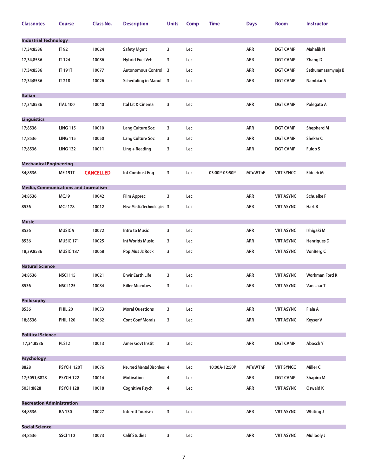| <b>Classnotes</b>                                      | <b>Course</b>        | <b>Class No.</b> | <b>Description</b>          | <b>Units</b> | <b>Comp</b> | Time          | <b>Days</b>    | <b>Room</b>      | <b>Instructor</b>     |  |
|--------------------------------------------------------|----------------------|------------------|-----------------------------|--------------|-------------|---------------|----------------|------------------|-----------------------|--|
| <b>Industrial Technology</b>                           |                      |                  |                             |              |             |               |                |                  |                       |  |
| 17;34;8536                                             | IT 92                | 10024            | <b>Safety Mgmt</b>          | 3            | Lec         |               | ARR            | <b>DGT CAMP</b>  | <b>Mahalik N</b>      |  |
| 17,34,8536                                             | <b>IT 124</b>        | 10086            | <b>Hybrid Fuel Veh</b>      | 3            | Lec         |               | ARR            | <b>DGT CAMP</b>  | Zhang D               |  |
| 17;34;8536                                             | <b>IT 191T</b>       | 10077            | <b>Autonomous Control 3</b> |              | Lec         |               | ARR            | <b>DGT CAMP</b>  | Sethuramasamyraja B   |  |
| 17;34;8536                                             | IT 218               | 10026            | Scheduling in Manuf 3       |              | Lec         |               | ARR            | <b>DGT CAMP</b>  | Nambiar A             |  |
|                                                        |                      |                  |                             |              |             |               |                |                  |                       |  |
| <b>Italian</b><br>17;34;8536                           | <b>ITAL 100</b>      | 10040            | Ital Lit & Cinema           | 3            | Lec         |               | ARR            | <b>DGT CAMP</b>  | Polegato A            |  |
|                                                        |                      |                  |                             |              |             |               |                |                  |                       |  |
| <b>Linguistics</b>                                     |                      |                  |                             |              |             |               |                |                  |                       |  |
| 17;8536                                                | <b>LING 115</b>      | 10010            | Lang Culture Soc            | 3            | Lec         |               | ARR            | <b>DGT CAMP</b>  | <b>Shepherd M</b>     |  |
| 17;8536                                                | <b>LING 115</b>      | 10050            | Lang Culture Soc            | 3            | Lec         |               | ARR            | <b>DGT CAMP</b>  | Shekar C              |  |
| 17;8536                                                | <b>LING 132</b>      | 10011            | $Ling + Reading$            | 3            | Lec         |               | ARR            | <b>DGT CAMP</b>  | Fulop S               |  |
| <b>Mechanical Engineering</b>                          |                      |                  |                             |              |             |               |                |                  |                       |  |
| 34;8536                                                | <b>ME 191T</b>       | <b>CANCELLED</b> | <b>Int Combust Eng</b>      | 3            | Lec         | 03:00P-05:50P | <b>MTuWThF</b> | <b>VRT SYNCC</b> | <b>Eldeeb M</b>       |  |
|                                                        |                      |                  |                             |              |             |               |                |                  |                       |  |
| <b>Media, Communications and Journalism</b><br>34;8536 | MCJ 9                | 10042            | <b>Film Apprec</b>          | 3            | Lec         |               | ARR            | <b>VRT ASYNC</b> | <b>Schuelke F</b>     |  |
| 8536                                                   | <b>MCJ 178</b>       | 10012            | New Media Technologies 3    |              | Lec         |               | ARR            | <b>VRT ASYNC</b> | Hart B                |  |
|                                                        |                      |                  |                             |              |             |               |                |                  |                       |  |
| <b>Music</b>                                           |                      |                  |                             |              |             |               |                |                  |                       |  |
| 8536                                                   | MUSIC <sub>9</sub>   | 10072            | <b>Intro to Music</b>       | 3            | Lec         |               | ARR            | <b>VRT ASYNC</b> | Ishigaki M            |  |
| 8536                                                   | MUSIC <sub>171</sub> | 10025            | Int Worlds Music            | 3            | Lec         |               | ARR            | <b>VRT ASYNC</b> | <b>Henriques D</b>    |  |
| 18;39;8536                                             | <b>MUSIC 187</b>     | 10068            | Pop Mus Jz Rock             | 3            | Lec         |               | ARR            | <b>VRT ASYNC</b> | VonBerg C             |  |
| <b>Natural Science</b>                                 |                      |                  |                             |              |             |               |                |                  |                       |  |
| 34;8536                                                | <b>NSCI 115</b>      | 10021            | <b>Envir Earth Life</b>     | 3            | Lec         |               | ARR            | <b>VRT ASYNC</b> | <b>Workman Ford K</b> |  |
| 8536                                                   | <b>NSCI 125</b>      | 10084            | Killer Microbes             | 3            | Lec         |               | ARR            | <b>VRT ASYNC</b> | Van Laar T            |  |
| <b>Philosophy</b>                                      |                      |                  |                             |              |             |               |                |                  |                       |  |
| 8536                                                   | <b>PHIL 20</b>       | 10053            | <b>Moral Questions</b>      | 3            | Lec         |               | ARR            | <b>VRT ASYNC</b> | Fiala A               |  |
| 18;8536                                                | <b>PHIL 120</b>      | 10062            | <b>Cont Conf Morals</b>     | 3            | Lec         |               | ARR            | <b>VRT ASYNC</b> | Keyser V              |  |
|                                                        |                      |                  |                             |              |             |               |                |                  |                       |  |
| <b>Political Science</b>                               |                      |                  |                             |              |             |               |                |                  |                       |  |
| 17;34;8536                                             | PLSI <sub>2</sub>    | 10013            | Amer Govt Instit            | 3            | Lec         |               | <b>ARR</b>     | <b>DGT CAMP</b>  | Abosch Y              |  |
| <b>Psychology</b>                                      |                      |                  |                             |              |             |               |                |                  |                       |  |
| 8828                                                   | PSYCH 120T           | 10076            | Neurosci Mental Disorders 4 |              | Lec         | 10:00A-12:50P | <b>MTuWThF</b> | <b>VRT SYNCC</b> | Miller C              |  |
| 17;5051;8828                                           | <b>PSYCH 122</b>     | 10014            | <b>Motivation</b>           | 4            | Lec         |               | ARR            | <b>DGT CAMP</b>  | <b>Shapiro M</b>      |  |
| 5051;8828                                              | PSYCH 128            | 10018            | <b>Cognitive Psych</b>      | 4            | Lec         |               | ARR            | <b>VRT ASYNC</b> | Oswald K              |  |
| <b>Recreation Administration</b>                       |                      |                  |                             |              |             |               |                |                  |                       |  |
| 34;8536                                                | <b>RA130</b>         | 10027            | <b>Interntl Tourism</b>     | 3            | Lec         |               | ARR            | <b>VRT ASYNC</b> | Whiting J             |  |
|                                                        |                      |                  |                             |              |             |               |                |                  |                       |  |
| <b>Social Science</b>                                  |                      |                  |                             |              |             |               |                |                  |                       |  |
| 34;8536                                                | <b>SSCI 110</b>      | 10073            | <b>Calif Studies</b>        | 3            | Lec         |               | ARR            | <b>VRT ASYNC</b> | Mullooly J            |  |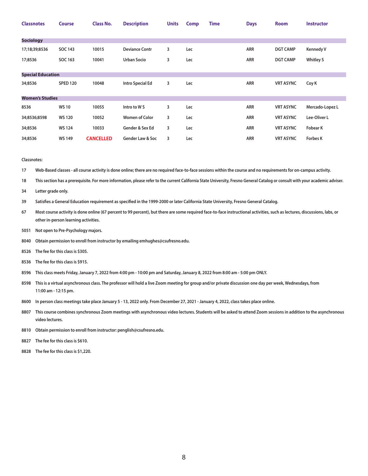| <b>Classnotes</b>        | <b>Course</b>   | <b>Class No.</b> | <b>Description</b>          | <b>Units</b> | <b>Comp</b> | <b>Time</b> | <b>Days</b> | <b>Room</b>      | <b>Instructor</b> |
|--------------------------|-----------------|------------------|-----------------------------|--------------|-------------|-------------|-------------|------------------|-------------------|
|                          |                 |                  |                             |              |             |             |             |                  |                   |
| <b>Sociology</b>         |                 |                  |                             |              |             |             |             |                  |                   |
| 17;18;39;8536            | <b>SOC 143</b>  | 10015            | <b>Deviance Contr</b>       | 3            | Lec         |             | ARR         | <b>DGT CAMP</b>  | <b>Kennedy V</b>  |
| 17;8536                  | SOC 163         | 10041            | <b>Urban Socio</b>          | 3            | Lec         |             | <b>ARR</b>  | <b>DGT CAMP</b>  | <b>Whitley S</b>  |
|                          |                 |                  |                             |              |             |             |             |                  |                   |
| <b>Special Education</b> |                 |                  |                             |              |             |             |             |                  |                   |
| 34;8536                  | <b>SPED 120</b> | 10048            | Intro Special Ed            | 3            | Lec         |             | ARR         | <b>VRT ASYNC</b> | Coy K             |
| <b>Women's Studies</b>   |                 |                  |                             |              |             |             |             |                  |                   |
|                          |                 |                  |                             |              |             |             |             |                  |                   |
| 8536                     | <b>WS10</b>     | 10055            | Intro to WS                 | 3            | Lec         |             | ARR         | <b>VRT ASYNC</b> | Mercado-Lopez L   |
| 34;8536;8598             | <b>WS120</b>    | 10052            | <b>Women of Color</b>       | 3            | Lec         |             | <b>ARR</b>  | <b>VRT ASYNC</b> | Lee-Oliver L      |
| 34;8536                  | <b>WS124</b>    | 10033            | Gender & Sex Ed             | 3            | Lec         |             | ARR         | <b>VRT ASYNC</b> | <b>Fobear K</b>   |
| 34;8536                  | <b>WS 149</b>   | <b>CANCELLED</b> | <b>Gender Law &amp; Soc</b> | 3            | Lec         |             | ARR         | <b>VRT ASYNC</b> | <b>Forbes K</b>   |

**Classnotes:** 

**17 Web-Based classes - all course activity is done online; there are no required face-to-face sessions within the course and no requirements for on-campus activity.**

**18 This section has a prerequisite. For more information, please refer to the current California State University, Fresno General Catalog or consult with your academic adviser.**

**34 Letter grade only.** 

**39 Satisfies a General Education requirement as specified in the 1999-2000 or later California State University, Fresno General Catalog.**

**67 Most course activity is done online (67 percent to 99 percent), but there are some required face-to-face instructional activities, such as lectures, discussions, labs, or other in-person learning activities.**

**5051 Not open to Pre-Psychology majors.** 

**8040 Obtain permission to enroll from instructor by emailing emhughes@csufresno.edu.**

**8526 The fee for this class is \$305.** 

**8536 The fee for this class is \$915.** 

**8596 This class meets Friday, January 7, 2022 from 4:00 pm - 10:00 pm and Saturday, January 8, 2022 from 8:00 am - 5:00 pm ONLY.**

**8598 This is a virtual asynchronous class. The professor will hold a live Zoom meeting for group and/or private discussion one day per week, Wednesdays, from 11:00 am - 12:15 pm.**

**8600 In person class meetings take place January 5 - 13, 2022 only. From December 27, 2021 - January 4, 2022, class takes place online.**

**8807 This course combines synchronous Zoom meetings with asynchronous video lectures. Students will be asked to attend Zoom sessions in addition to the asynchronous video lectures.** 

**8810 Obtain permission to enroll from instructor: penglish@csufresno.edu.** 

**8827 The fee for this class is \$610.** 

**8828 The fee for this class is \$1,220.**